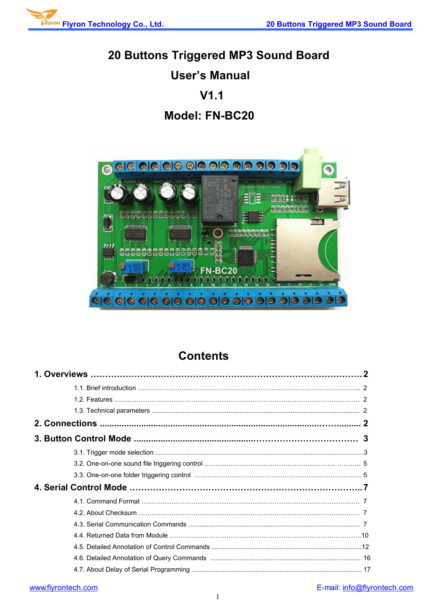

# **20 Buttons Triggered MP3 Sound Board**

# **User's Manual**

# **V1.1**

# **Model: FN-BC20**



# **Contents**

# [www.flyrontech.com](http://www.flyrontech.com/) E-mail: [info@flyrontech.com](mailto:info@flyrontech.com)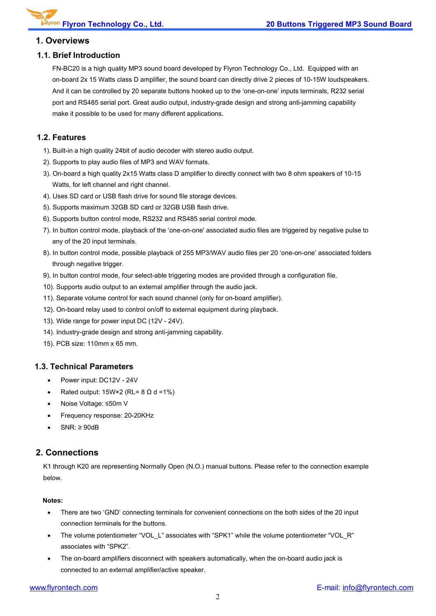#### **1. Overviews**

#### **1.1. Brief Introduction**

FN-BC20 is a high quality MP3 sound board developed by Flyron Technology Co., Ltd. Equipped with an on-board 2x 15 Watts class D amplifier, the sound board can directly drive 2 pieces of 10-15W loudspeakers. And it can be controlled by 20 separate buttons hooked up to the 'one-on-one' inputs terminals, R232 serial port and RS485 serial port. Great audio output, industry-grade design and strong anti-jamming capability make it possible to be used for many different applications.

#### **1.2. Features**

- 1). Built-in a high quality 24bit of audio decoder with stereo audio output.
- 2). Supports to play audio files of MP3 and WAV formats.
- 3). On-board a high quality 2x15 Watts class D amplifier to directly connect with two 8 ohm speakers of 10-15 Watts, for left channel and right channel.
- 4). Uses SD card or USB flash drive forsound file storage devices.
- 
- 5). Supports maximum 32GB SD card or 32GB USB flash drive.<br>6). Supports button control mode, RS232 and RS485 serial control mode.
- 7). In button control mode, playback of the 'one-on-one' associated audio files are triggered by negative pulse to any of the 20 input terminals.
- 8). In button control mode, possible playback of 255 MP3/WAV audio files per 20 'one-on-one' associated folders through negative trigger.
- 9). In button control mode, four select-able triggering modes are provided through a configuration file.
- 10). Supports audio output to an external amplifier through the audio jack.
- 11). Separate volume control for each sound channel (only for on-board amplifier).
- 12). On-board relay used to control on/off to external equipment during playback.
- 13). Wide range for power input DC (12V 24V).
- 14). Industry-grade design and strong anti-jamming capability.
- 15). PCB size: 110mm x 65 mm.

#### **1.3. Technical Parameters**

- Power input: DC12V 24V
- Rated output:  $15W \times 2$  (RL= 8  $\Omega$  d =1%)
- Noise Voltage: ≤50m V
- Frequency response: 20-20KHz
- SNR: ≥ 90dB

### **2. Connections**

K1 through K20 are representing Normally Open (N.O.) manual buttons. Please refer to the connection example below.

#### **Notes:**

- There are two 'GND' connecting terminals for convenient connections on the both sides of the 20 input connection terminals for the buttons.
- The volume potentiometer "VOL\_L" associates with "SPK1" while the volume potentiometer "VOL\_R" associates with "SPK2".
- The on-board amplifiers disconnect with speakers automatically, when the on-board audio jack is connected to an external amplifier/active speaker.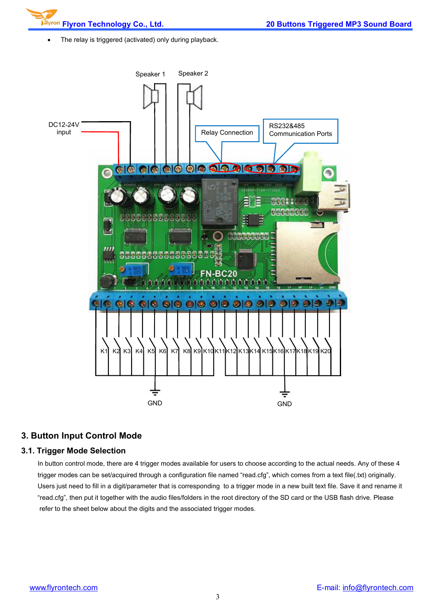• The relay is triggered (activated) only during playback.



#### **3. Button Input Control Mode**

#### **3.1. Trigger Mode Selection**

In button control mode, there are 4 trigger modes available for users to choose according to the actual needs. Any of these 4 trigger modes can be set/acquired through a configuration file named "read.cfg", which comes from a text file(.txt) originally. Users just need to fill in a digit/parameter that is corresponding to a trigger mode in a new built text file. Save it and rename it "read.cfg", then put it together with the audio files/folders in the root directory of the SD card or the USB flash drive. Please refer to the sheet below about the digits and the associated trigger modes.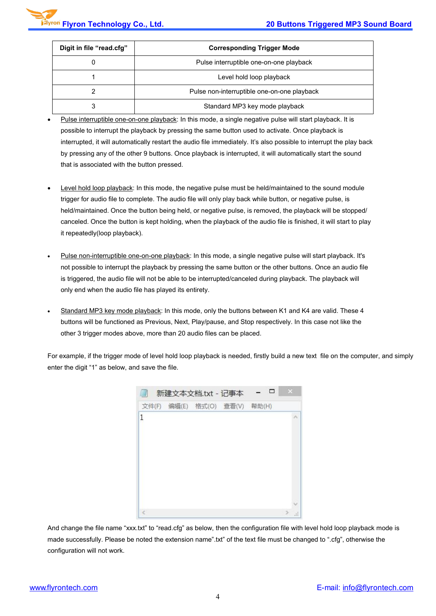| Digit in file "read.cfg" | <b>Corresponding Trigger Mode</b>           |
|--------------------------|---------------------------------------------|
|                          | Pulse interruptible one-on-one playback     |
|                          | Level hold loop playback                    |
|                          | Pulse non-interruptible one-on-one playback |
|                          | Standard MP3 key mode playback              |

- Pulse interruptible one-on-one playback: In this mode, a single negative pulse will start playback. It is possible to interrupt the playback by pressing the same button used to activate. Once playback is interrupted, it will automatically restart the audio file immediately. It's also possible to interrupt the play back by pressing any of the other 9 buttons. Once playback is interrupted, it will automatically start the sound that is associated with the button pressed.
- Level hold loop playback: In this mode, the negative pulse must be held/maintained to the sound module trigger for audio file to complete. The audio file will only play back while button, or negative pulse, is held/maintained. Once the button being held, or negative pulse, is removed, the playback will be stopped/ canceled. Once the button is kept holding, when the playback of the audio file is finished, it will start to play it repeatedly(loop playback).
- Pulse non-interruptible one-on-one playback: In this mode, a single negative pulse will start playback. It's not possible to interrupt the playback by pressing the same button or the other buttons. Once an audio file is triggered, the audio file will not be able to be interrupted/canceled during playback. The playback will only end when the audio file has played its entirety.
- Standard MP3 key mode playback: In this mode, only the buttons between K1 and K4 are valid. These 4 buttons will be functioned as Previous, Next, Play/pause, and Stop respectively. In this case not like the other 3 trigger modes above, more than 20 audio files can be placed.

For example, if the trigger mode of level hold loop playback is needed, firstly build a new text file on the computer, and simply enter the digit "1" as below, and save the file.



And change the file name "xxx.txt" to "read.cfg" as below, then the configuration file with level hold loop playback mode is made successfully. Please be noted the extension name".txt" of the text file must be changed to ".cfg", otherwise the configuration will not work.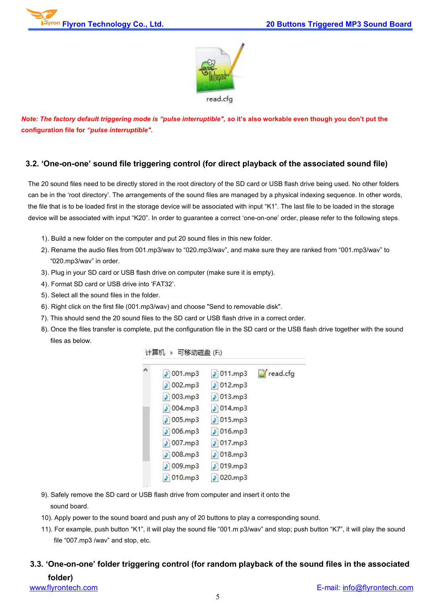

Note: The factory default triggering mode is "pulse interruptible", so it's also workable even though you don't put the **configuration file for** *"pulse interruptible".*

#### **3.2. 'One-on-one' sound file triggering control (for direct playback of the associated sound file)**

The 20 sound files need to be directly stored in the root directory of the SD card or USB flash drive being used. No other folders can be in the 'root directory'. The arrangements of the sound files are managed by a physical indexing sequence. In other words, the file that is to be loaded first in the storage device will be associated with input "K1". The last file to be loaded in the storage device will be associated with input "K20". In order to guarantee a correct 'one-on-one' order, please refer to the following steps.

- 1). Build a new folder on the computer and put 20 sound files in this new folder.
- 2). Rename the audio files from 001.mp3/wav to "020.mp3/wav", and make sure they are ranked from "001.mp3/wav" to "020.mp3/wav" in order.
- 3). Plug in your SD card or USB flash drive on computer (make sure it is empty).4). Format SD card or USB drive into 'FAT32'.
- 
- 5). Select all the sound files in the folder.
- 6). Right click on the first file (001.mp3/wav) and choose "Send to removable disk".
- 7). This should send the 20 sound files to the SD card or USB flash drive in a correct order.
- 8). Once the files transfer is complete, put the configuration file in the SD card or the USB flash drive together with the sound files as below.

| 计算机 ▶ 可移动磁盘 (F:)            |                 |                     |
|-----------------------------|-----------------|---------------------|
| 001mp3                      | 011mp3          | $\epsilon$ read.cfg |
| 002mp3                      | $ $ 012.mp3     |                     |
| 003mp3                      | $ $ 013.mp3     |                     |
| $\log 004 \cdot m \cdot p3$ | $\sqrt{014mp3}$ |                     |
| $ $ 005.mp3                 | $015$ .mp3      |                     |
| 006mp3                      | $ $ 016.mp3     |                     |
| 007mp3                      | 017mp3          |                     |
| 008mp3                      | $ $ 018.mp3     |                     |
| 009mp3                      | 019mp3          |                     |
| $ 010 \text{.mp}3$          | 1 020.mp3       |                     |

- 9). Safely remove the SD card or USB flash drive from computer and insert it onto the sound board.
- 10). Apply power to the sound board and push any of 20 buttons to play a corresponding sound.
- 11). For example, push button "K1", it will play the sound file "001.m p3/wav" and stop; push button "K7", it will play the sound file "007.mp3 /wav" and stop, etc.

## **3.3. 'One-on-one' folder triggering control (for random playback of the sound files in the associated folder)**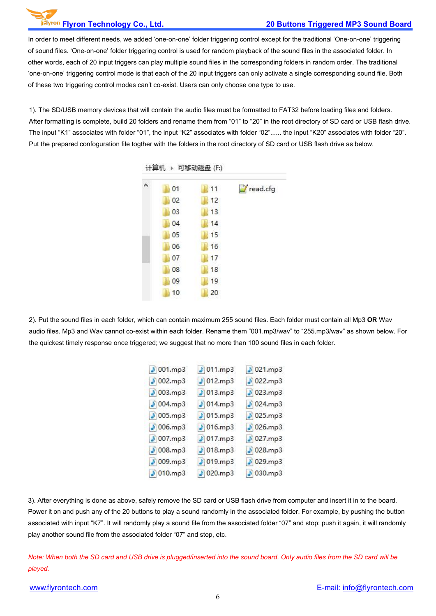#### **Flyron Technology Co., Ltd. 20 Buttons Triggered MP3 Sound Board**

In order to meet different needs, we added 'one-on-one' folder triggering control except for the traditional 'One-on-one' triggering of sound files. 'One-on-one' folder triggering control is used for random playback of the sound files in the associated folder. In other words, each of 20 input triggers can play multiple sound files in the corresponding folders in random order. The traditional 'one-on-one' triggering control mode is that each of the 20 input triggers can only activate a single corresponding sound file. Both of these two triggering control modes can't co-exist. Users can only choose one type to use.

1). The SD/USB memory devices that will contain the audio files must be formatted to FAT32 before loading files and folders. After formatting is complete, build 20 folders and rename them from "01" to "20" in the root directory of SD card or USB flash drive. The input "K1" associates with folder "01", the input "K2" associates with folder "02"...... the input "K20" associates with folder "20". Put the prepared confoguration file togther with the folders in the root directory of SD card or USB flash drive as below.

| ۸ | 01 | 11 | read.cfg |
|---|----|----|----------|
|   | 02 | 12 |          |
|   | 03 | 13 |          |
|   | 04 | 14 |          |
|   | 05 | 15 |          |
|   | 06 | 16 |          |
|   | 07 | 17 |          |
|   | 08 | 18 |          |
|   | 09 | 19 |          |
|   | 10 | 20 |          |

计算机 、可钦动端舟 (E)

2). Put the sound files in each folder, which can contain maximum 255 sound files.Each folder must contain all Mp3 **OR** Wav audio files. Mp3 and Wav cannot co-exist within each folder. Rename them "001.mp3/wav" to "255.mp3/wav" as shown below. For the quickest timely response once triggered; we suggest that no more than 100 sound files in each folder.

| $\sqrt{001}$ .mp3  | $\sqrt{011mp3}$    | $5021$ .mp3 |
|--------------------|--------------------|-------------|
| $ $ 002.mp3        | $D$ 012.mp3        | $ $ 022.mp3 |
| $ $ 003.mp3        | $013$ .mp3         | $ $ 023.mp3 |
| $ $ 004.mp3        | $ $ 014.mp3        | 024mp3      |
| $ $ 005.mp3        | $[3]$ 015.mp3      | $ $ 025.mp3 |
| $ $ 006.mp3        | $ $ 016.mp3        | 026mp3      |
| 007mp3             | 017mp3             | 3 027.mp3   |
| 008mp3             | 018mp3             | 028mp3      |
| 009mp3             | 019mp3             | 029mp3      |
| $ 010 \text{mp}3 $ | $ 020 \text{mp}3 $ | $ $ 030.mp3 |

3). After everything is done as above, safely remove the SD card or USB flash drive from computer and insert it in to the board. Power it on and push any of the 20 buttons to play a sound randomly in the associated folder. For example, by pushing the button associated with input "K7". It will randomly play a sound file from the associated folder "07" and stop; push it again, it will randomly play another sound file from the associated folder"07" and stop, etc.

Note: When both the SD card and USB drive is plugged/inserted into the sound board. Only audio files from the SD card will be *played.*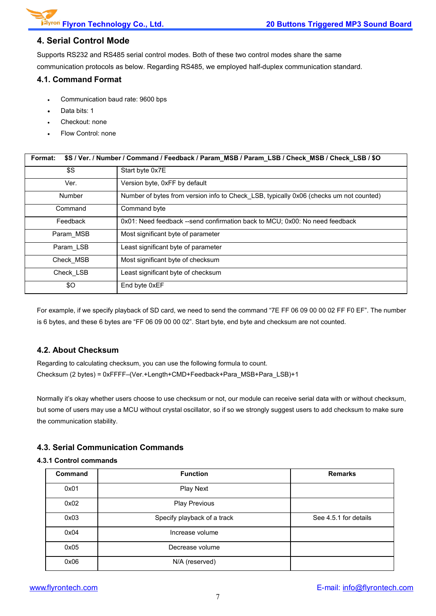#### **4. Serial Control Mode**

Supports RS232 and RS485 serial control modes. Both of these two control modes share the same communication protocols as below. Regarding RS485, we employed half-duplex communication standard.

#### **4.1. Command Format**

- Communication baud rate: 9600 bps
- Data bits: 1
- Checkout: none
- Flow Control: none

| \$S / Ver. / Number / Command / Feedback / Param_MSB / Param_LSB / Check_MSB / Check_LSB / \$O<br>Format: |                                                                                        |  |  |
|-----------------------------------------------------------------------------------------------------------|----------------------------------------------------------------------------------------|--|--|
| \$S                                                                                                       | Start byte 0x7E                                                                        |  |  |
| Ver.                                                                                                      | Version byte, 0xFF by default                                                          |  |  |
| <b>Number</b>                                                                                             | Number of bytes from version info to Check LSB, typically 0x06 (checks um not counted) |  |  |
| Command                                                                                                   | Command byte                                                                           |  |  |
| Feedback                                                                                                  | 0x01: Need feedback --send confirmation back to MCU; 0x00: No need feedback            |  |  |
| Param MSB                                                                                                 | Most significant byte of parameter                                                     |  |  |
| Param LSB                                                                                                 | Least significant byte of parameter                                                    |  |  |
| Check MSB                                                                                                 | Most significant byte of checksum                                                      |  |  |
| Check LSB                                                                                                 | Least significant byte of checksum                                                     |  |  |
| \$0                                                                                                       | End byte 0xEF                                                                          |  |  |

For example, if we specify playback of SD card, we need to send the command "7E FF 06 09 00 00 02 FF F0 EF". The number is 6 bytes, and these 6 bytes are "FF 06 09 00 00 02". Start byte, end byte and checksum are not counted.

#### **4.2. About Checksum**

Regarding to calculating checksum, you can use the following formula to count. Checksum (2 bytes) = 0xFFFF–(Ver.+Length+CMD+Feedback+Para\_MSB+Para\_LSB)+1

Normally it's okay whether users choose to use checksum or not, our module can receive serial data with or without checksum, but some of users may use a MCU without crystal oscillator, so if so we strongly suggest users to add checksum to make sure the communication stability.

#### **4.3. Serial Communication Commands**

#### **4.3.1 Control commands**

| <b>Command</b> | <b>Function</b>             | <b>Remarks</b>        |
|----------------|-----------------------------|-----------------------|
| 0x01           | Play Next                   |                       |
| 0x02           | <b>Play Previous</b>        |                       |
| 0x03           | Specify playback of a track | See 4.5.1 for details |
| 0x04           | Increase volume             |                       |
| 0x05           | Decrease volume             |                       |
| 0x06           | N/A (reserved)              |                       |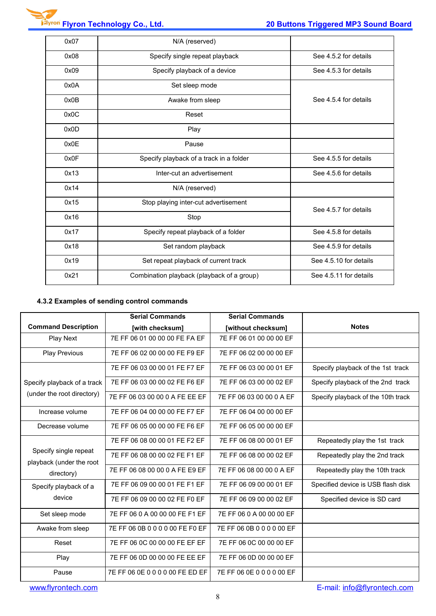| 0x08<br>Specify single repeat playback<br>See 4.5.2 for details<br>0x09<br>Specify playback of a device<br>See 4.5.3 for details<br>0x0A<br>Set sleep mode<br>See 4.5.4 for details<br>0x0B<br>Awake from sleep<br>0x0C<br>Reset<br>0x0D<br>Play<br>0x0E<br>Pause<br>0x0F<br>Specify playback of a track in a folder<br>See 4.5.5 for details<br>0x13<br>Inter-cut an advertisement<br>See 4.5.6 for details<br>0x14<br>N/A (reserved)<br>0x15<br>Stop playing inter-cut advertisement<br>See 4.5.7 for details<br>0x16<br>Stop<br>0x17<br>Specify repeat playback of a folder<br>See 4.5.8 for details<br>0x18<br>Set random playback<br>See 4.5.9 for details<br>0x19<br>See 4.5.10 for details<br>Set repeat playback of current track<br>0x21<br>See 4.5.11 for details<br>Combination playback (playback of a group) | 0x07 | N/A (reserved) |  |
|---------------------------------------------------------------------------------------------------------------------------------------------------------------------------------------------------------------------------------------------------------------------------------------------------------------------------------------------------------------------------------------------------------------------------------------------------------------------------------------------------------------------------------------------------------------------------------------------------------------------------------------------------------------------------------------------------------------------------------------------------------------------------------------------------------------------------|------|----------------|--|
|                                                                                                                                                                                                                                                                                                                                                                                                                                                                                                                                                                                                                                                                                                                                                                                                                           |      |                |  |
|                                                                                                                                                                                                                                                                                                                                                                                                                                                                                                                                                                                                                                                                                                                                                                                                                           |      |                |  |
|                                                                                                                                                                                                                                                                                                                                                                                                                                                                                                                                                                                                                                                                                                                                                                                                                           |      |                |  |
|                                                                                                                                                                                                                                                                                                                                                                                                                                                                                                                                                                                                                                                                                                                                                                                                                           |      |                |  |
|                                                                                                                                                                                                                                                                                                                                                                                                                                                                                                                                                                                                                                                                                                                                                                                                                           |      |                |  |
|                                                                                                                                                                                                                                                                                                                                                                                                                                                                                                                                                                                                                                                                                                                                                                                                                           |      |                |  |
|                                                                                                                                                                                                                                                                                                                                                                                                                                                                                                                                                                                                                                                                                                                                                                                                                           |      |                |  |
|                                                                                                                                                                                                                                                                                                                                                                                                                                                                                                                                                                                                                                                                                                                                                                                                                           |      |                |  |
|                                                                                                                                                                                                                                                                                                                                                                                                                                                                                                                                                                                                                                                                                                                                                                                                                           |      |                |  |
|                                                                                                                                                                                                                                                                                                                                                                                                                                                                                                                                                                                                                                                                                                                                                                                                                           |      |                |  |
|                                                                                                                                                                                                                                                                                                                                                                                                                                                                                                                                                                                                                                                                                                                                                                                                                           |      |                |  |
|                                                                                                                                                                                                                                                                                                                                                                                                                                                                                                                                                                                                                                                                                                                                                                                                                           |      |                |  |
|                                                                                                                                                                                                                                                                                                                                                                                                                                                                                                                                                                                                                                                                                                                                                                                                                           |      |                |  |
|                                                                                                                                                                                                                                                                                                                                                                                                                                                                                                                                                                                                                                                                                                                                                                                                                           |      |                |  |
|                                                                                                                                                                                                                                                                                                                                                                                                                                                                                                                                                                                                                                                                                                                                                                                                                           |      |                |  |
|                                                                                                                                                                                                                                                                                                                                                                                                                                                                                                                                                                                                                                                                                                                                                                                                                           |      |                |  |

### **4.3.2 Examples of sending control commands**

|                                                   | <b>Serial Commands</b>          | <b>Serial Commands</b>    |                                    |
|---------------------------------------------------|---------------------------------|---------------------------|------------------------------------|
| <b>Command Description</b>                        | [with checksum]                 | [without checksum]        | <b>Notes</b>                       |
| <b>Play Next</b>                                  | 7E FF 06 01 00 00 00 FE FA EF   | 7E FF 06 01 00 00 00 EF   |                                    |
| <b>Play Previous</b>                              | 7E FF 06 02 00 00 00 FE F9 EF   | 7E FF 06 02 00 00 00 EF   |                                    |
|                                                   | 7E FF 06 03 00 00 01 FE F7 EF   | 7E FF 06 03 00 00 01 EF   | Specify playback of the 1st track  |
| Specify playback of a track                       | 7E FF 06 03 00 00 02 FE F6 EF   | 7E FF 06 03 00 00 02 EF   | Specify playback of the 2nd track  |
| (under the root directory)                        | 7E FF 06 03 00 00 0 A FE EE EF  | 7E FF 06 03 00 00 0 A EF  | Specify playback of the 10th track |
| Increase volume                                   | 7E FF 06 04 00 00 00 FE F7 EF   | 7E FF 06 04 00 00 00 EF   |                                    |
| Decrease volume                                   | 7E FF 06 05 00 00 00 FE F6 EF   | 7E FF 06 05 00 00 00 EF   |                                    |
|                                                   | 7E FF 06 08 00 00 01 FE F2 EF   | 7E FF 06 08 00 00 01 EF   | Repeatedly play the 1st track      |
| Specify single repeat<br>playback (under the root | 7E FF 06 08 00 00 02 FE F1 EF   | 7E FF 06 08 00 00 02 EF   | Repeatedly play the 2nd track      |
| directory)                                        | 7E FF 06 08 00 00 0 A FE E9 EF  | 7E FF 06 08 00 00 0 A EF  | Repeatedly play the 10th track     |
| Specify playback of a                             | 7E FF 06 09 00 00 01 FE F1 EF   | 7E FF 06 09 00 00 01 EF   | Specified device is USB flash disk |
| device                                            | 7E FF 06 09 00 00 02 FE F0 EF   | 7E FF 06 09 00 00 02 EF   | Specified device is SD card        |
| Set sleep mode                                    | 7E FF 06 0 A 00 00 00 FE F1 EF  | 7E FF 06 0 A 00 00 00 EF  |                                    |
| Awake from sleep                                  | 7E FF 06 0B 0 0 0 0 00 FE F0 EF | 7E FF 06 0B 0 0 0 0 00 EF |                                    |
| Reset                                             | 7E FF 06 0C 00 00 00 FE EF EF   | 7E FF 06 0C 00 00 00 EF   |                                    |
| Play                                              | 7E FF 06 0D 00 00 00 FE EE EF   | 7E FF 06 0D 00 00 00 EF   |                                    |
| Pause                                             | 7E FF 06 0E 0 0 0 0 00 FE ED EF | 7E FF 06 0E 0 0 0 0 00 EF |                                    |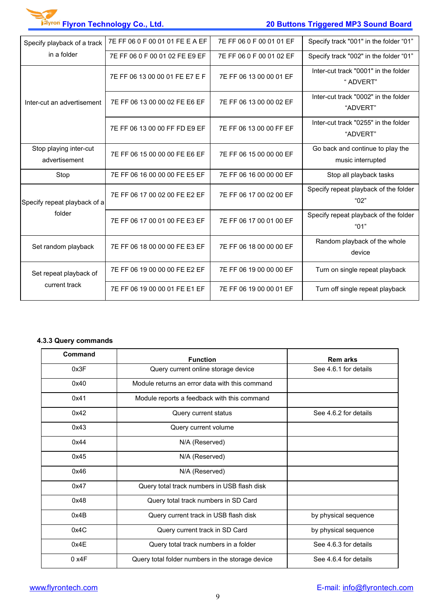# **Flyron Technology Co., Ltd. 20 Buttons Triggered MP3 Sound Board**

| Specify playback of a track             | 7E FF 06 0 F 00 01 01 FE E A EF | 7E FF 06 0 F 00 01 01 EF | Specify track "001" in the folder "01"                |  |
|-----------------------------------------|---------------------------------|--------------------------|-------------------------------------------------------|--|
| in a folder                             | 7E FF 06 0 F 00 01 02 FE E9 EF  | 7E FF 06 0 F 00 01 02 EF | Specify track "002" in the folder "01"                |  |
|                                         | 7E FF 06 13 00 00 01 FE E7 E F  | 7E FF 06 13 00 00 01 EF  | Inter-cut track "0001" in the folder<br>" ADVERT"     |  |
| Inter-cut an advertisement              | 7E FF 06 13 00 00 02 FE E6 EF   | 7E FF 06 13 00 00 02 EF  | Inter-cut track "0002" in the folder<br>"ADVERT"      |  |
|                                         | 7E FF 06 13 00 00 FF FD E9 EF   | 7E FF 06 13 00 00 FF EF  | Inter-cut track "0255" in the folder<br>"ADVERT"      |  |
| Stop playing inter-cut<br>advertisement | 7E FF 06 15 00 00 00 FE E6 EF   | 7E FF 06 15 00 00 00 EF  | Go back and continue to play the<br>music interrupted |  |
| Stop                                    | 7E FF 06 16 00 00 00 FE E5 EF   | 7E FF 06 16 00 00 00 EF  | Stop all playback tasks                               |  |
| Specify repeat playback of a            | 7E FF 06 17 00 02 00 FE E2 EF   | 7E FF 06 17 00 02 00 EF  | Specify repeat playback of the folder<br>"02"         |  |
| folder                                  | 7E FF 06 17 00 01 00 FE E3 EF   | 7E FF 06 17 00 01 00 EF  | Specify repeat playback of the folder<br>"01"         |  |
| Set random playback                     | 7E FF 06 18 00 00 00 FE E3 EF   | 7E FF 06 18 00 00 00 EF  | Random playback of the whole<br>device                |  |
| Set repeat playback of                  | 7E FF 06 19 00 00 00 FE E2 EF   | 7E FF 06 19 00 00 00 EF  | Turn on single repeat playback                        |  |
| current track                           | 7E FF 06 19 00 00 01 FE E1 EF   | 7E FF 06 19 00 00 01 EF  | Turn off single repeat playback                       |  |

## **4.3.3 Query commands**

| Command | <b>Function</b>                                  | <b>Remarks</b>        |
|---------|--------------------------------------------------|-----------------------|
| 0x3F    | Query current online storage device              | See 4.6.1 for details |
| 0x40    | Module returns an error data with this command   |                       |
| 0x41    | Module reports a feedback with this command      |                       |
| 0x42    | Query current status                             | See 4.6.2 for details |
| 0x43    | Query current volume                             |                       |
| 0x44    | N/A (Reserved)                                   |                       |
| 0x45    | N/A (Reserved)                                   |                       |
| 0x46    | N/A (Reserved)                                   |                       |
| 0x47    | Query total track numbers in USB flash disk      |                       |
| 0x48    | Query total track numbers in SD Card             |                       |
| 0x4B    | Query current track in USB flash disk            | by physical sequence  |
| 0x4C    | Query current track in SD Card                   | by physical sequence  |
| 0x4E    | Query total track numbers in a folder            | See 4.6.3 for details |
| 0x4F    | Query total folder numbers in the storage device | See 4.6.4 for details |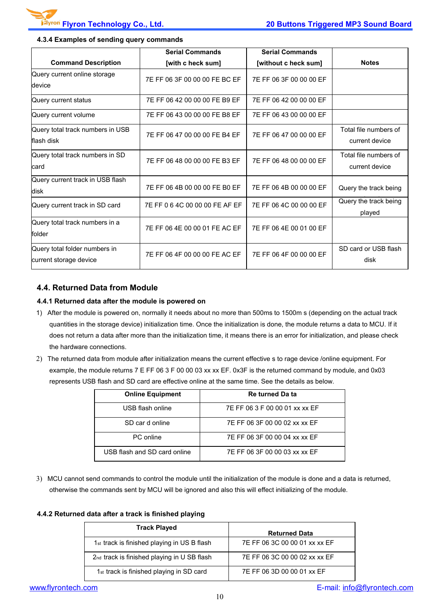|                                                         | <b>Serial Commands</b>         | <b>Serial Commands</b>  |                                         |
|---------------------------------------------------------|--------------------------------|-------------------------|-----------------------------------------|
| <b>Command Description</b>                              | [with c heck sum]              | [without c heck sum]    | <b>Notes</b>                            |
| Query current online storage<br>device                  | 7E FF 06 3F 00 00 00 FE BC EF  | 7E FF 06 3F 00 00 00 EF |                                         |
| Query current status                                    | 7E FF 06 42 00 00 00 FE B9 EF  | 7E FF 06 42 00 00 00 EF |                                         |
| Query current volume                                    | 7E FF 06 43 00 00 00 FE B8 EF  | 7E FF 06 43 00 00 00 EF |                                         |
| Query total track numbers in USB<br>lflash disk         | 7E FF 06 47 00 00 00 FE B4 EF  | 7E FF 06 47 00 00 00 EF | Total file numbers of<br>current device |
| Query total track numbers in SD<br>lcard                | 7E FF 06 48 00 00 00 FE B3 EF  | 7E FF 06 48 00 00 00 EF | Total file numbers of<br>current device |
| Query current track in USB flash<br>disk                | 7E FF 06 4B 00 00 00 FE B0 EF  | 7E FF 06 4B 00 00 00 EF | Query the track being                   |
| Query current track in SD card                          | 7E FF 0 6 4C 00 00 00 FE AF EF | 7E FF 06 4C 00 00 00 EF | Query the track being<br>played         |
| Query total track numbers in a<br>folder                | 7E FF 06 4E 00 00 01 FE AC EF  | 7E FF 06 4E 00 01 00 EF |                                         |
| Query total folder numbers in<br>current storage device | 7E FF 06 4F 00 00 00 FE AC EF  | 7E FF 06 4F 00 00 00 EF | SD card or USB flash<br>disk            |
|                                                         |                                |                         |                                         |

#### **4.3.4 Examples of sending query commands**

#### **4.4. Returned Data from Module**

#### **4.4.1 Returned data after the module is powered on**

- 1) After the module is powered on, normally it needs about no more than 500ms to 1500m s (depending on the actual track quantities in the storage device) initialization time. Once the initialization is done, the module returns a data to MCU. If it does not return a data after more than the initialization time, it means there is an error for initialization, and please check the hardware connections.
- 2) The returned data from module after initialization means the current effective s to rage device /online equipment. For example, the module returns 7 E FF 06 3 F 00 00 03 xx xx EF. 0x3F is the returned command by module, and 0x03 represents USB flash and SD card are effective online at the same time. See the details as below.

| <b>Online Equipment</b>      | Re turned Da ta                |
|------------------------------|--------------------------------|
| USB flash online             | 7E FF 06 3 F 00 00 01 xx xx EF |
| SD car d online              | 7E FF 06 3F 00 00 02 xx xx EF  |
| PC online                    | 7E FF 06 3F 00 00 04 xx xx EF  |
| USB flash and SD card online | 7E FF 06 3F 00 00 03 xx xx EF  |

3) MCU cannot send commands to control the module until the initialization of the module is done and a data is returned,<br>otherwise the commands sent by MCU will be ignored and also this will effect initializing of the modu

#### **4.4.2 Returned data after a track is finished playing**

| <b>Track Played</b>                                  | <b>Returned Data</b>          |
|------------------------------------------------------|-------------------------------|
| 1st track is finished playing in US B flash          | 7E FF 06 3C 00 00 01 xx xx EF |
| 2nd track is finished playing in U SB flash          | 7E FF 06 3C 00 00 02 xx xx EF |
| 1 <sub>st</sub> track is finished playing in SD card | 7E FF 06 3D 00 00 01 xx EF    |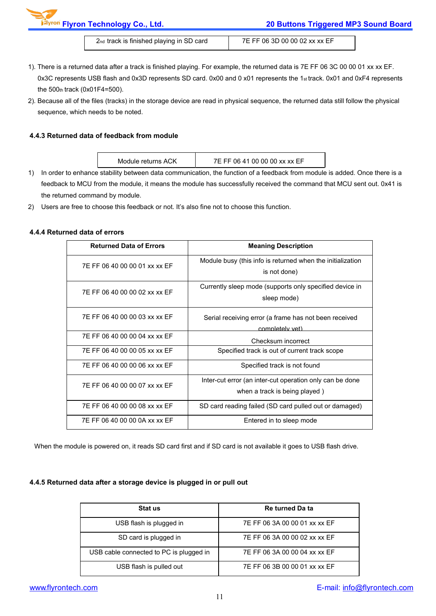2nd track is finished playing in SD card 7E FF 06 3D 00 00 02 xx xx EF

- 1). There is a returned data after a track is finished playing. For example, the returned data is 7E FF 06 3C 00 00 01 xx xx EF.<br>0x3C represents USB flash and 0x3D represents SD card. 0x00 and 0 x01 represents the 1st trac the 500th track (0x01F4=500).
- 2). Because all of the files (tracks) in the storage device are read in physical sequence, the returned data still follow the physical sequence, which needs to be noted.

#### **4.4.3 Returned data of feedback from module**

| Module returns ACK | 7E FF 06 41 00 00 00 xx xx EF                                                                   |  |
|--------------------|-------------------------------------------------------------------------------------------------|--|
|                    | otobility hotuson data semmunisation, the function of a foodhook from module is added. Ones the |  |

- 1) In order to enhance stability between data communication, the function of a feedback from module is added. Once there is a feedback to MCU from the module, it means the module has successfully received the command that MCU sent out. 0x41 is the returned command by module.
- 2) Users are free to choose this feedback or not. It's also fine not to choose this function.

#### **4.4.4 Returned data of errors**

| <b>Returned Data of Errors</b> | <b>Meaning Description</b>                                                                |
|--------------------------------|-------------------------------------------------------------------------------------------|
| 7E FF 06 40 00 00 01 xx xx EF  | Module busy (this info is returned when the initialization<br>is not done)                |
| 7E FF 06 40 00 00 02 xx xx EF  | Currently sleep mode (supports only specified device in<br>sleep mode)                    |
| 7E FF 06 40 00 00 03 xx xx EF  | Serial receiving error (a frame has not been received<br>completely yet)                  |
| 7E FF 06 40 00 00 04 xx xx EF  | Checksum incorrect                                                                        |
| 7E FF 06 40 00 00 05 xx xx EF  | Specified track is out of current track scope                                             |
| 7E FF 06 40 00 00 06 xx xx EF  | Specified track is not found                                                              |
| 7E FF 06 40 00 00 07 xx xx EF  | Inter-cut error (an inter-cut operation only can be done<br>when a track is being played) |
| 7E FF 06 40 00 00 08 xx xx EF  | SD card reading failed (SD card pulled out or damaged)                                    |
| 7E FF 06 40 00 00 0A xx xx EF  | Entered in to sleep mode                                                                  |

When the module is powered on, it reads SD card first and if SD card is not available it goes to USB flash drive.

#### **4.4.5 Returned data after a storage device is plugged in or pull out**

| Stat us                                 | Re turned Da ta               |
|-----------------------------------------|-------------------------------|
| USB flash is plugged in                 | 7E FF 06 3A 00 00 01 xx xx EF |
| SD card is plugged in                   | 7E FF 06 3A 00 00 02 xx xx EF |
| USB cable connected to PC is plugged in | 7E FF 06 3A 00 00 04 xx xx EF |
| USB flash is pulled out                 | 7E FF 06 3B 00 00 01 xx xx EF |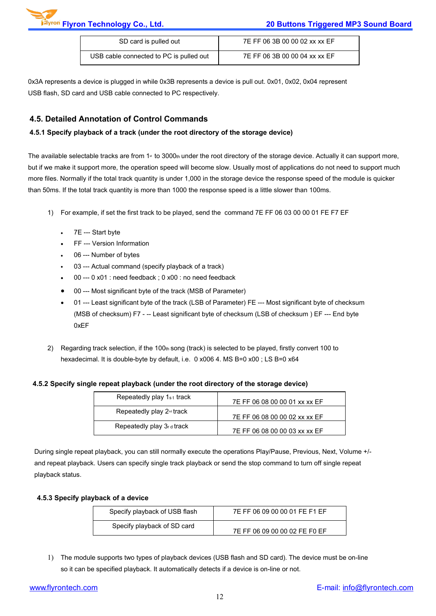| SD card is pulled out                   | 7E FF 06 3B 00 00 02 xx xx EF |
|-----------------------------------------|-------------------------------|
| USB cable connected to PC is pulled out | 7E FF 06 3B 00 00 04 xx xx EF |

0x3A represents a device is plugged in while 0x3B represents a device is pull out. 0x01, 0x02, 0x04 represent USB flash, SD card and USB cable connected to PC respectively.

#### **4.5. Detailed Annotation of Control Commands**

#### **4.5.1 Specify playback of a track (under the root directory of the storage device)**

The available selectable tracks are from  $1*$  to 3000th under the root directory of the storage device. Actually it can support more, but if we make it support more, the operation speed will become slow. Usually most of applications do not need to support much more files. Normally if the total track quantity is under 1,000 in the storage device the response speed of the module is quicker than 50ms. If the total track quantity is more than 1000 the response speed is a little slower than 100ms.

- 1) For example, if set the first track to be played, send the command 7E FF 06 03 00 00 01 FE F7 EF
	- 7E --- Start byte
	- FF --- Version Information
	- 06 --- Number of bytes
	- 03 --- Actual command (specify playback of a track)
	- 00 --- 0 x01 : need feedback ; 0 x00 : no need feedback
	- 00 --- Most significant byte of the track (MSB of Parameter)
	- 01 --- Least significant byte of the track (LSB of Parameter) FE --- Most significant byte of checksum (MSB of checksum) F7 - -- Least significant byte of checksum (LSB of checksum ) EF --- End byte 0xEF
- 2) Regarding track selection, if the 100th song (track) is selected to be played, firstly convert 100 to hexadecimal. It is double-byte by default, i.e. 0 x006 4. MS B=0 x00 ; LS B=0 x64

#### **4.5.2 Specify single repeat playback (under the root directory of the storage device)**

| Repeatedly play 1st track             | 7E FF 06 08 00 00 01 xx xx EF |
|---------------------------------------|-------------------------------|
| Repeatedly play 2 <sup>nd</sup> track | 7E FF 06 08 00 00 02 xx xx EF |
| Repeatedly play 3rd track             | 7E FF 06 08 00 00 03 xx xx EF |

During single repeat playback, you can still normally execute the operations Play/Pause, Previous, Next, Volume +/ and repeat playback. Users can specify single track playback or send the stop command to turn off single repeat playback status.

#### **4.5.3 Specify playback of a device**

| Specify playback of USB flash | 7E FF 06 09 00 00 01 FE F1 EF |
|-------------------------------|-------------------------------|
| Specify playback of SD card   | 7E FF 06 09 00 00 02 FE F0 EF |

1) The module supports two types of playback devices (USB flash and SD card). The device must be on-line so it can be specified playback. It automatically detects if a device is on-line or not.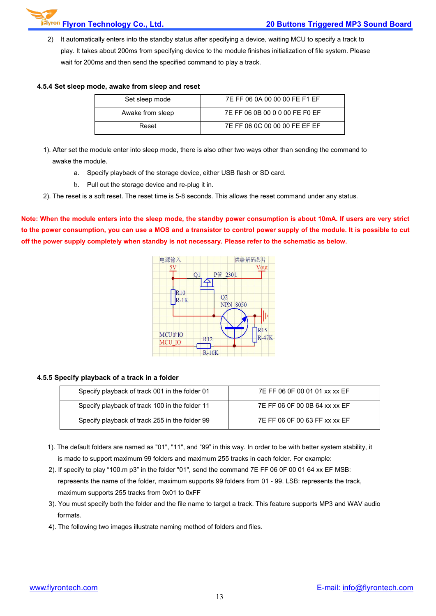2) It automatically enters into the standby status after specifying a device, waiting MCU to specify a track to play. It takes about 200ms from specifying device to the module finishes initialization of file system. Please wait for 200ms and then send the specified command to play a track.

#### **4.5.4 Set sleep mode, awake from sleep and reset**

| Set sleep mode   | 7E FF 06 0A 00 00 00 FE F1 EF  |
|------------------|--------------------------------|
| Awake from sleep | 7E FF 06 0B 00 0 0 00 FE F0 EF |
| Reset            | 7E FF 06 0C 00 00 00 FE EF EF  |

- 1). After set the module enter into sleep mode, there is also other two ways other than sending the command to awake the module.
	- a. Specify playback of the storage device, either USB flash or SD card.
	- b. Pull out the storage device and re-plug it in.
- 2). The reset is a soft reset. The reset time is 5-8 seconds. This allows the reset command under any status.

Note: When the module enters into the sleep mode, the standby power consumption is about 10mA. If users are very strict to the power consumption, you can use a MOS and a transistor to control power supply of the module. It is possible to cut **off the powersupply completely when standby is not necessary. Please refer to the schematic as below.**



#### **4.5.5 Specify playback of a track in a folder**

| Specify playback of track 001 in the folder 01 | 7E FF 06 0F 00 01 01 xx xx EF |
|------------------------------------------------|-------------------------------|
| Specify playback of track 100 in the folder 11 | 7E FF 06 0F 00 0B 64 xx xx EF |
| Specify playback of track 255 in the folder 99 | 7E FF 06 0F 00 63 FF xx xx EF |

- 1). The default folders are named as "01", "11", and "99" in this way. In order to be with better system stability, it is made to support maximum 99 folders and maximum 255 tracks in each folder. For example:
- 2). If specify to play "100.m p3" in the folder "01", send the command 7E FF 06 0F 00 01 64 xx EF MSB: represents the name of the folder, maximum supports 99 folders from 01 - 99. LSB: represents the track, maximum supports 255 tracks from 0x01 to 0xFF
- 3). You must specify both the folder and the file name to target a track. This feature supports MP3 and WAV audio formats.
- 4). The following two images illustrate naming method of folders and files.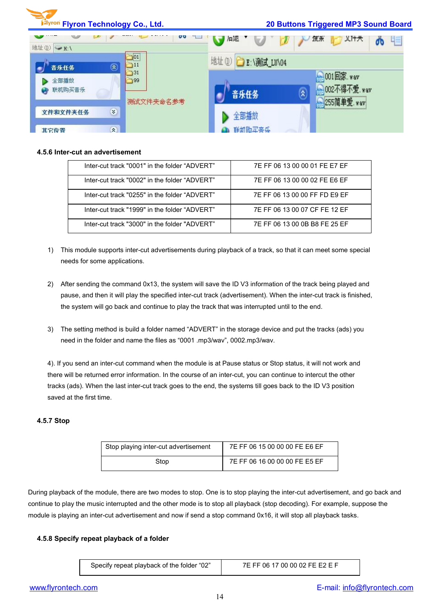

#### **4.5.6 Inter-cutan advertisement**

| Inter-cut track "0001" in the folder "ADVFRT" | 7E FF 06 13 00 00 01 FE E7 EF |
|-----------------------------------------------|-------------------------------|
| Inter-cut track "0002" in the folder "ADVFRT" | 7F FF 06 13 00 00 02 FF F6 FF |
| Inter-cut track "0255" in the folder "ADVERT" | 7F FF 06 13 00 00 FF FD F9 FF |
| Inter-cut track "1999" in the folder "ADVFRT" | 7F FF 06 13 00 07 CF FF 12 FF |
| Inter-cut track "3000" in the folder "ADVERT" | 7F FF 06 13 00 0B B8 FF 25 FF |

- 1) This module supports inter-cut advertisements during playback of a track, so that it can meet some special needs for some applications.
- 2) After sending the command 0x13, the system will save the ID V3 information of the track being played and pause, and then it will play the specified inter-cut track (advertisement). When the inter-cut track is finished, the system will go back and continue to play the track that was interrupted until to the end.
- 3) The setting method isbuild a folder named "ADVERT" in the storage device and put the tracks (ads) you need in the folder and name the files as "0001 .mp3/wav", 0002.mp3/wav.

4). If you send an inter-cut command when the module is at Pause status or Stop status, it will not work and there will be returned error information. In the course of an inter-cut, you can continue to intercut the other tracks (ads). When the last inter-cut track goes to the end, the systems till goes back to the ID V3 position saved at the first time.

#### **4.5.7 Stop**

| Stop playing inter-cut advertisement | 7E FF 06 15 00 00 00 FE E6 EF |
|--------------------------------------|-------------------------------|
| Stop                                 | 7E FF 06 16 00 00 00 FE E5 EF |

During playback ofthe module, there are two modes to stop. One isto stop playing the inter-cut advertisement, and go back and continue to play the music interrupted and the other mode is to stop all playback (stop decoding). For example, suppose the module is playing an inter-cut advertisement and now if send a stop command 0x16, it will stop all playback tasks.

#### **4.5.8 Specify repeat playback of a folder**

| Specify repeat playback of the folder "02" | 7E FF 0 |
|--------------------------------------------|---------|
|--------------------------------------------|---------|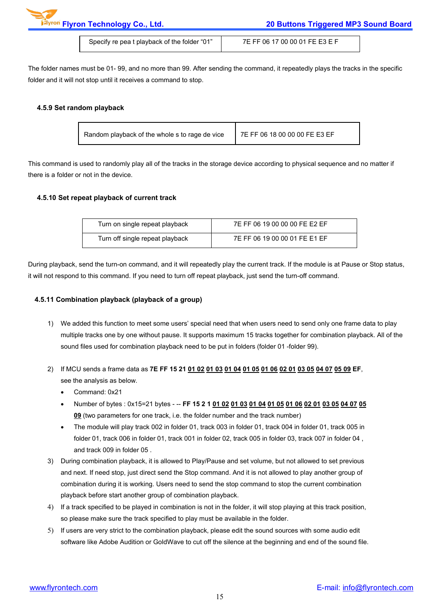**Flyron Technology Co., Ltd. 20 Buttons Triggered MP3 Sound Board**

Specify re pea t playback of the folder "01" | 7E FF 06 17 00 00 01 FE E3 E F

The folder names must be 01- 99, and no more than 99. After sending the command, it repeatedly plays the tracks in the specific folder and it will not stop until it receives a command to stop.

#### **4.5.9 Set random playback**

| 7E FF 06 18 00 00 00 FE E3 EF<br>Random playback of the whole s to rage de vice |  |
|---------------------------------------------------------------------------------|--|
|---------------------------------------------------------------------------------|--|

This command isused to randomly play all of the tracks in the storage device according to physical sequence and no matter if there is a folder or not in the device.

#### **4.5.10 Set repeat playback of current track**

| Turn on single repeat playback  | 7E FF 06 19 00 00 00 FE E2 EF |
|---------------------------------|-------------------------------|
| Turn off single repeat playback | 7E FF 06 19 00 00 01 FE E1 EF |

During playback, send the turn-on command, and it will repeatedly play the current track. If the module is at Pause or Stop status, it will not respond to this command. If you need to turn off repeat playback, just send the turn-off command.

#### **4.5.11 Combination playback (playback of a group)**

- 1) We added this function to meet some users' special need that when users need to send only one frame data to play multiple tracks one by one without pause. It supports maximum 15 tracks together for combination playback. All of the sound files used for combination playback need to be put in folders (folder 01 -folder 99).
- 2) If MCU sends a frame data as 7E FF 15 21 01 02 01 03 01 04 01 05 01 06 02 01 03 05 04 07 05 09 EF, see the analysis as below.
	- Command: 0x21
	- Number of bytes : 0x15=21 bytes -- FF 15 2 1 01 02 01 03 01 04 01 05 01 06 02 01 03 05 04 07 05 **09** (two parameters for one track, i.e. the folder number and the track number)
	- The module will play track 002 in folder 01, track 003 in folder 01, track 004 in folder 01, track 005 in folder 01, track 006 in folder 01, track 001 in folder 02, track 005 in folder 03, track 007 in folder 04 , and track 009 in folder 05 .
- 3) During combination playback, it is allowed to Play/Pause and set volume, but not allowed to set previous and next. If need stop, just direct send the Stop command. And it is not allowed to play another group of combination during it is working. Users need to send the stop command to stop the current combination playback before start another group of combination playback.
- 4) If a track specified to be played in combination is not in the folder, it will stop playing at this track position, so please make sure the track specified to play must be available in the folder.
- 5) If users are very strict to the combination playback, please edit the sound sources with some audio edit software like Adobe Audition or GoldWave to cut off the silence at the beginning and end of the sound file.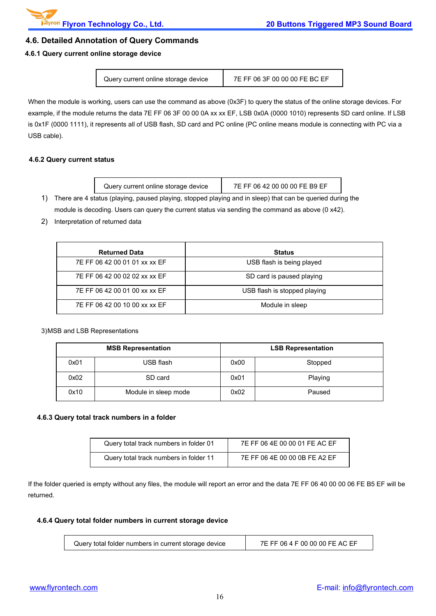#### **4.6. Detailed Annotation of Query Commands**

#### **4.6.1 Query current online storage device**

| Query current online storage device | 7E FF 06 3F 00 00 00 FE BC EF |  |
|-------------------------------------|-------------------------------|--|
|-------------------------------------|-------------------------------|--|

When the module is working, users can use the command as above (0x3F) to query the status of the online storage devices. For example, if the module returns the data 7E FF 06 3F 00 00 0A xx xx EF, LSB 0x0A (0000 1010) represents SD card online. If LSB is 0x1F (0000 1111), it represents all of USB flash, SD card and PC online (PC online means module is connecting with PC via a USB cable).

#### **4.6.2 Query current status**

| Query current online storage device                                                                       | 7E FF 06 42 00 00 00 FE B9 EF |
|-----------------------------------------------------------------------------------------------------------|-------------------------------|
| There are 4 status (playing, paused playing, stopped playing and in sleep) that can be queried during the |                               |

module is decoding. Users can query the current status via sending the command as above (0 x42).

2) Interpretation of returned data

| <b>Returned Data</b>          | <b>Status</b>                |  |
|-------------------------------|------------------------------|--|
| 7E FF 06 42 00 01 01 xx xx EF | USB flash is being played    |  |
| 7E FF 06 42 00 02 02 xx xx EF | SD card is paused playing    |  |
| 7E FF 06 42 00 01 00 xx xx EF | USB flash is stopped playing |  |
| 7E FF 06 42 00 10 00 xx xx EF | Module in sleep              |  |

#### 3)MSB and LSB Representations

| <b>MSB Representation</b> |                      | <b>LSB Representation</b> |         |
|---------------------------|----------------------|---------------------------|---------|
| 0x01                      | USB flash            | 0x00                      | Stopped |
| 0x02                      | SD card              | 0x01                      | Playing |
| 0x10                      | Module in sleep mode | 0x02                      | Paused  |

#### **4.6.3 Query total track numbers in a folder**

| Query total track numbers in folder 01 | 7E FF 06 4E 00 00 01 FE AC EF |
|----------------------------------------|-------------------------------|
| Query total track numbers in folder 11 | 7E FF 06 4E 00 00 0B FE A2 EF |

If the folder queried is empty without any files, the module will report an error and the data 7E FF 06 40 00 00 06 FE B5 EF will be returned.

#### **4.6.4 Query total folder numbers in current storage device**

| .- 00 00 00 FE AC EF<br>7E FF 06 4 F<br>Query total folder numbers in current storage device |  |
|----------------------------------------------------------------------------------------------|--|
|----------------------------------------------------------------------------------------------|--|